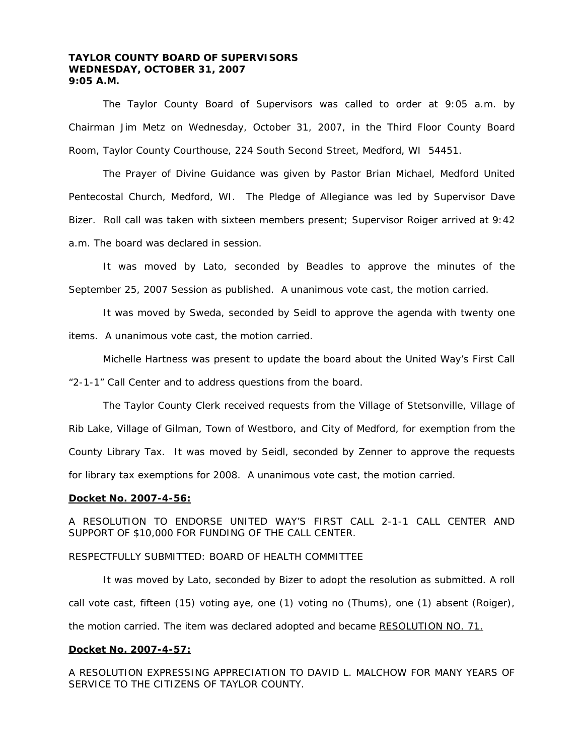# **TAYLOR COUNTY BOARD OF SUPERVISORS WEDNESDAY, OCTOBER 31, 2007 9:05 A.M.**

 The Taylor County Board of Supervisors was called to order at 9:05 a.m. by Chairman Jim Metz on Wednesday, October 31, 2007, in the Third Floor County Board Room, Taylor County Courthouse, 224 South Second Street, Medford, WI 54451.

 The Prayer of Divine Guidance was given by Pastor Brian Michael, Medford United Pentecostal Church, Medford, WI. The Pledge of Allegiance was led by Supervisor Dave Bizer. Roll call was taken with sixteen members present; Supervisor Roiger arrived at 9:42 a.m. The board was declared in session.

 It was moved by Lato, seconded by Beadles to approve the minutes of the September 25, 2007 Session as published. A unanimous vote cast, the motion carried.

 It was moved by Sweda, seconded by Seidl to approve the agenda with twenty one items. A unanimous vote cast, the motion carried.

 Michelle Hartness was present to update the board about the United Way's First Call "2-1-1" Call Center and to address questions from the board.

 The Taylor County Clerk received requests from the Village of Stetsonville, Village of Rib Lake, Village of Gilman, Town of Westboro, and City of Medford, for exemption from the County Library Tax. It was moved by Seidl, seconded by Zenner to approve the requests for library tax exemptions for 2008. A unanimous vote cast, the motion carried.

#### **Docket No. 2007-4-56:**

A RESOLUTION TO ENDORSE UNITED WAY'S FIRST CALL 2-1-1 CALL CENTER AND SUPPORT OF \$10,000 FOR FUNDING OF THE CALL CENTER.

# RESPECTFULLY SUBMITTED: BOARD OF HEALTH COMMITTEE

 It was moved by Lato, seconded by Bizer to adopt the resolution as submitted. A roll call vote cast, fifteen (15) voting aye, one (1) voting no (Thums), one (1) absent (Roiger), the motion carried. The item was declared adopted and became RESOLUTION NO. 71.

## **Docket No. 2007-4-57:**

A RESOLUTION EXPRESSING APPRECIATION TO DAVID L. MALCHOW FOR MANY YEARS OF SERVICE TO THE CITIZENS OF TAYLOR COUNTY.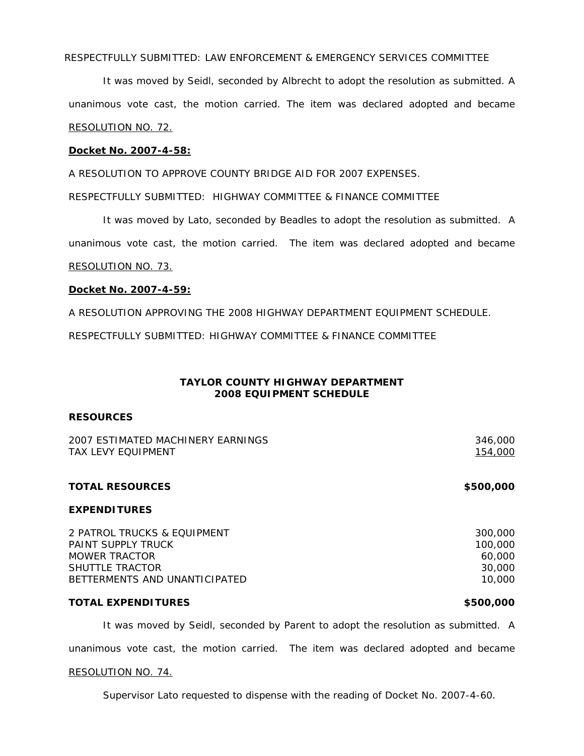RESPECTFULLY SUBMITTED: LAW ENFORCEMENT & EMERGENCY SERVICES COMMITTEE

It was moved by Seidl, seconded by Albrecht to adopt the resolution as submitted. A unanimous vote cast, the motion carried. The item was declared adopted and became RESOLUTION NO. 72.

#### **Docket No. 2007-4-58:**

A RESOLUTION TO APPROVE COUNTY BRIDGE AID FOR 2007 EXPENSES.

RESPECTFULLY SUBMITTED: HIGHWAY COMMITTEE & FINANCE COMMITTEE

 It was moved by Lato, seconded by Beadles to adopt the resolution as submitted. A unanimous vote cast, the motion carried. The item was declared adopted and became RESOLUTION NO. 73.

# **Docket No. 2007-4-59:**

A RESOLUTION APPROVING THE 2008 HIGHWAY DEPARTMENT EQUIPMENT SCHEDULE.

RESPECTFULLY SUBMITTED: HIGHWAY COMMITTEE & FINANCE COMMITTEE

# **TAYLOR COUNTY HIGHWAY DEPARTMENT 2008 EQUIPMENT SCHEDULE**

# **RESOURCES**

| 2007 ESTIMATED MACHINERY EARNINGS<br><b>TAX LEVY EQUIPMENT</b> | 346,000<br>154,000     |
|----------------------------------------------------------------|------------------------|
|                                                                |                        |
|                                                                | <b>TOTAL RESOURCES</b> |
| <b>EXPENDITURES</b>                                            |                        |
| 2 PATROL TRUCKS & EQUIPMENT                                    | 300,000                |
| PAINT SUPPLY TRUCK                                             | 100,000                |
| <b>MOWER TRACTOR</b>                                           | 60.000                 |

SHUTTLE TRACTOR **SHUTTLE TRACTOR 30,000** BETTERMENTS AND UNANTICIPATED 10.000 and 10.000 and 10.000 and 10.000 and 10.000 and 10.000 and 10.000 and 10.000 and 10.000 and 10.000 and 10.000 and 10.000 and 10.000 and 10.000 and 10.000 and 10.000 and 10.000 and 10.00

# **TOTAL EXPENDITURES \$500,000**

 It was moved by Seidl, seconded by Parent to adopt the resolution as submitted. A unanimous vote cast, the motion carried. The item was declared adopted and became

#### RESOLUTION NO. 74.

Supervisor Lato requested to dispense with the reading of Docket No. 2007-4-60.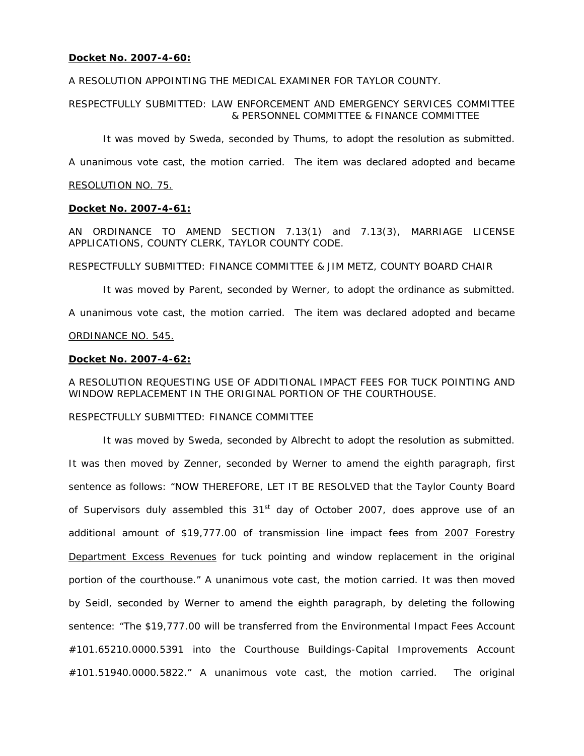# **Docket No. 2007-4-60:**

A RESOLUTION APPOINTING THE MEDICAL EXAMINER FOR TAYLOR COUNTY.

# RESPECTFULLY SUBMITTED: LAW ENFORCEMENT AND EMERGENCY SERVICES COMMITTEE & PERSONNEL COMMITTEE & FINANCE COMMITTEE

It was moved by Sweda, seconded by Thums, to adopt the resolution as submitted.

A unanimous vote cast, the motion carried. The item was declared adopted and became

# RESOLUTION NO. 75.

# **Docket No. 2007-4-61:**

AN ORDINANCE TO AMEND SECTION 7.13(1) and 7.13(3), MARRIAGE LICENSE APPLICATIONS, COUNTY CLERK, TAYLOR COUNTY CODE.

RESPECTFULLY SUBMITTED: FINANCE COMMITTEE & JIM METZ, COUNTY BOARD CHAIR

 It was moved by Parent, seconded by Werner, to adopt the ordinance as submitted. A unanimous vote cast, the motion carried. The item was declared adopted and became ORDINANCE NO. 545.

# **Docket No. 2007-4-62:**

# A RESOLUTION REQUESTING USE OF ADDITIONAL IMPACT FEES FOR TUCK POINTING AND WINDOW REPLACEMENT IN THE ORIGINAL PORTION OF THE COURTHOUSE.

# RESPECTFULLY SUBMITTED: FINANCE COMMITTEE

It was moved by Sweda, seconded by Albrecht to adopt the resolution as submitted. It was then moved by Zenner, seconded by Werner to amend the eighth paragraph, first sentence as follows: "NOW THEREFORE, LET IT BE RESOLVED that the Taylor County Board of Supervisors duly assembled this  $31<sup>st</sup>$  day of October 2007, does approve use of an additional amount of \$19,777.00 of transmission line impact fees from 2007 Forestry Department Excess Revenues for tuck pointing and window replacement in the original portion of the courthouse." A unanimous vote cast, the motion carried. It was then moved by Seidl, seconded by Werner to amend the eighth paragraph, by deleting the following sentence: "The \$19,777.00 will be transferred from the Environmental Impact Fees Account #101.65210.0000.5391 into the Courthouse Buildings-Capital Improvements Account #101.51940.0000.5822." A unanimous vote cast, the motion carried. The original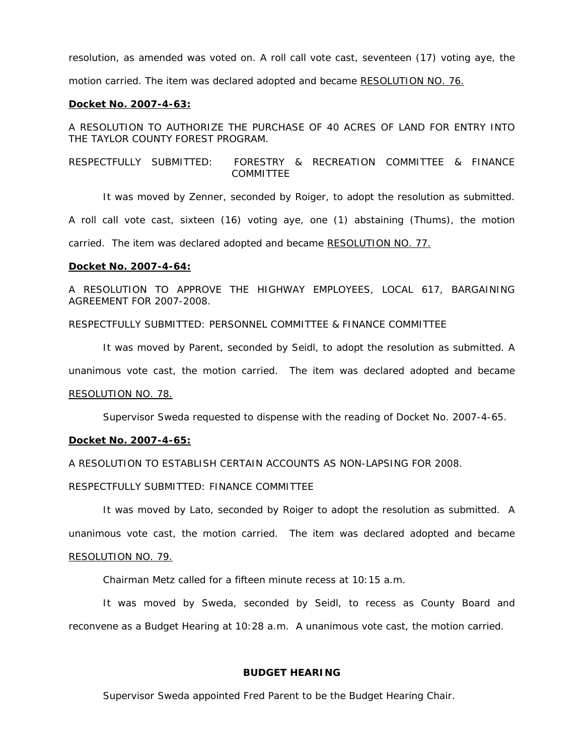resolution, as amended was voted on. A roll call vote cast, seventeen (17) voting aye, the motion carried. The item was declared adopted and became RESOLUTION NO. 76.

#### **Docket No. 2007-4-63:**

A RESOLUTION TO AUTHORIZE THE PURCHASE OF 40 ACRES OF LAND FOR ENTRY INTO THE TAYLOR COUNTY FOREST PROGRAM.

RESPECTFULLY SUBMITTED: FORESTRY & RECREATION COMMITTEE & FINANCE COMMITTEE

 It was moved by Zenner, seconded by Roiger, to adopt the resolution as submitted. A roll call vote cast, sixteen (16) voting aye, one (1) abstaining (Thums), the motion carried. The item was declared adopted and became RESOLUTION NO. 77.

#### **Docket No. 2007-4-64:**

A RESOLUTION TO APPROVE THE HIGHWAY EMPLOYEES, LOCAL 617, BARGAINING AGREEMENT FOR 2007-2008.

RESPECTFULLY SUBMITTED: PERSONNEL COMMITTEE & FINANCE COMMITTEE

 It was moved by Parent, seconded by Seidl, to adopt the resolution as submitted. A unanimous vote cast, the motion carried. The item was declared adopted and became RESOLUTION NO. 78.

Supervisor Sweda requested to dispense with the reading of Docket No. 2007-4-65.

#### **Docket No. 2007-4-65:**

A RESOLUTION TO ESTABLISH CERTAIN ACCOUNTS AS NON-LAPSING FOR 2008.

RESPECTFULLY SUBMITTED: FINANCE COMMITTEE

It was moved by Lato, seconded by Roiger to adopt the resolution as submitted. A unanimous vote cast, the motion carried. The item was declared adopted and became

# RESOLUTION NO. 79.

Chairman Metz called for a fifteen minute recess at 10:15 a.m.

 It was moved by Sweda, seconded by Seidl, to recess as County Board and reconvene as a Budget Hearing at 10:28 a.m. A unanimous vote cast, the motion carried.

# **BUDGET HEARING**

Supervisor Sweda appointed Fred Parent to be the Budget Hearing Chair.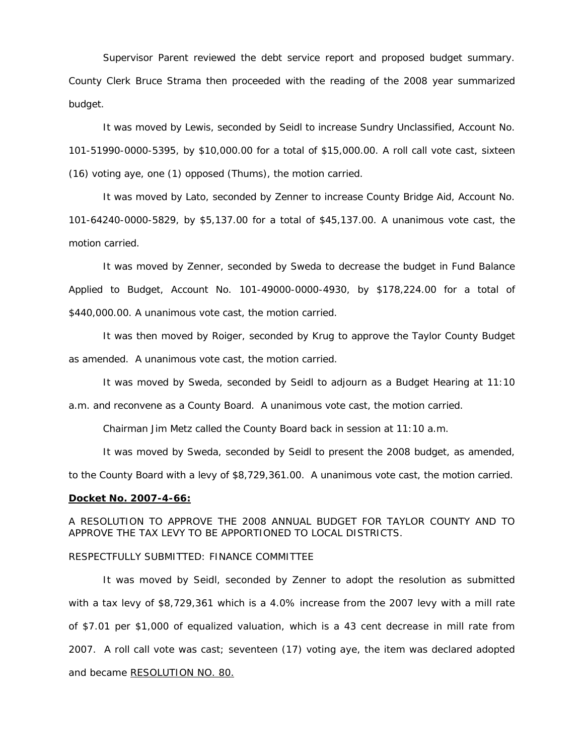Supervisor Parent reviewed the debt service report and proposed budget summary. County Clerk Bruce Strama then proceeded with the reading of the 2008 year summarized budget.

 It was moved by Lewis, seconded by Seidl to increase Sundry Unclassified, Account No. 101-51990-0000-5395, by \$10,000.00 for a total of \$15,000.00. A roll call vote cast, sixteen (16) voting aye, one (1) opposed (Thums), the motion carried.

 It was moved by Lato, seconded by Zenner to increase County Bridge Aid, Account No. 101-64240-0000-5829, by \$5,137.00 for a total of \$45,137.00. A unanimous vote cast, the motion carried.

 It was moved by Zenner, seconded by Sweda to decrease the budget in Fund Balance Applied to Budget, Account No. 101-49000-0000-4930, by \$178,224.00 for a total of \$440,000.00. A unanimous vote cast, the motion carried.

 It was then moved by Roiger, seconded by Krug to approve the Taylor County Budget as amended. A unanimous vote cast, the motion carried.

It was moved by Sweda, seconded by Seidl to adjourn as a Budget Hearing at 11:10

a.m. and reconvene as a County Board. A unanimous vote cast, the motion carried.

Chairman Jim Metz called the County Board back in session at 11:10 a.m.

It was moved by Sweda, seconded by Seidl to present the 2008 budget, as amended,

to the County Board with a levy of \$8,729,361.00. A unanimous vote cast, the motion carried.

#### **Docket No. 2007-4-66:**

A RESOLUTION TO APPROVE THE 2008 ANNUAL BUDGET FOR TAYLOR COUNTY AND TO APPROVE THE TAX LEVY TO BE APPORTIONED TO LOCAL DISTRICTS.

# RESPECTFULLY SUBMITTED: FINANCE COMMITTEE

It was moved by Seidl, seconded by Zenner to adopt the resolution as submitted with a tax levy of \$8,729,361 which is a 4.0% increase from the 2007 levy with a mill rate of \$7.01 per \$1,000 of equalized valuation, which is a 43 cent decrease in mill rate from 2007. A roll call vote was cast; seventeen (17) voting aye, the item was declared adopted and became RESOLUTION NO. 80.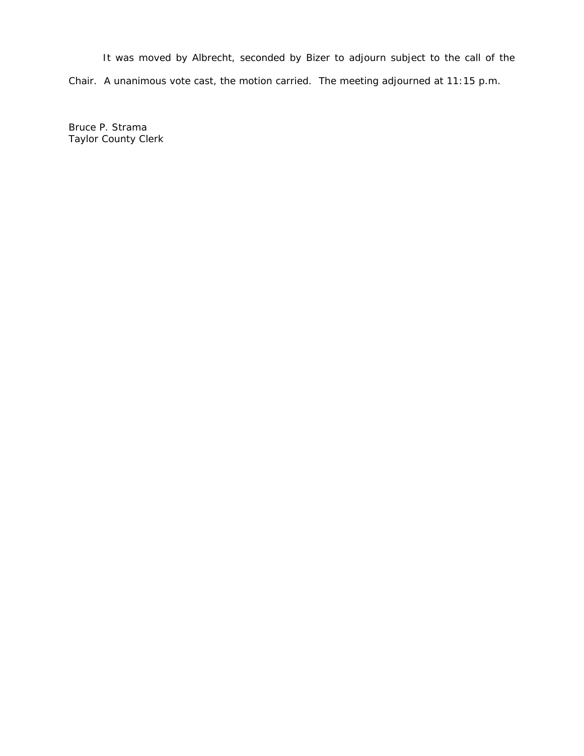It was moved by Albrecht, seconded by Bizer to adjourn subject to the call of the Chair. A unanimous vote cast, the motion carried. The meeting adjourned at 11:15 p.m.

Bruce P. Strama Taylor County Clerk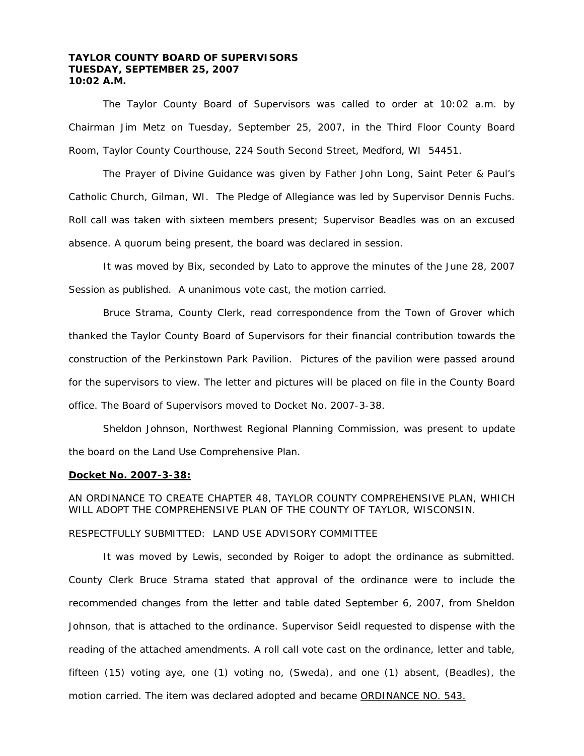# **TAYLOR COUNTY BOARD OF SUPERVISORS TUESDAY, SEPTEMBER 25, 2007 10:02 A.M.**

 The Taylor County Board of Supervisors was called to order at 10:02 a.m. by Chairman Jim Metz on Tuesday, September 25, 2007, in the Third Floor County Board Room, Taylor County Courthouse, 224 South Second Street, Medford, WI 54451.

 The Prayer of Divine Guidance was given by Father John Long, Saint Peter & Paul's Catholic Church, Gilman, WI. The Pledge of Allegiance was led by Supervisor Dennis Fuchs. Roll call was taken with sixteen members present; Supervisor Beadles was on an excused absence. A quorum being present, the board was declared in session.

 It was moved by Bix, seconded by Lato to approve the minutes of the June 28, 2007 Session as published. A unanimous vote cast, the motion carried.

 Bruce Strama, County Clerk, read correspondence from the Town of Grover which thanked the Taylor County Board of Supervisors for their financial contribution towards the construction of the Perkinstown Park Pavilion. Pictures of the pavilion were passed around for the supervisors to view. The letter and pictures will be placed on file in the County Board office. The Board of Supervisors moved to Docket No. 2007-3-38.

 Sheldon Johnson, Northwest Regional Planning Commission, was present to update the board on the Land Use Comprehensive Plan.

#### **Docket No. 2007-3-38:**

AN ORDINANCE TO CREATE CHAPTER 48, TAYLOR COUNTY COMPREHENSIVE PLAN, WHICH WILL ADOPT THE COMPREHENSIVE PLAN OF THE COUNTY OF TAYLOR, WISCONSIN. RESPECTFULLY SUBMITTED: LAND USE ADVISORY COMMITTEE

 It was moved by Lewis, seconded by Roiger to adopt the ordinance as submitted. County Clerk Bruce Strama stated that approval of the ordinance were to include the recommended changes from the letter and table dated September 6, 2007, from Sheldon Johnson, that is attached to the ordinance. Supervisor Seidl requested to dispense with the reading of the attached amendments. A roll call vote cast on the ordinance, letter and table, fifteen (15) voting aye, one (1) voting no, (Sweda), and one (1) absent, (Beadles), the motion carried. The item was declared adopted and became ORDINANCE NO. 543.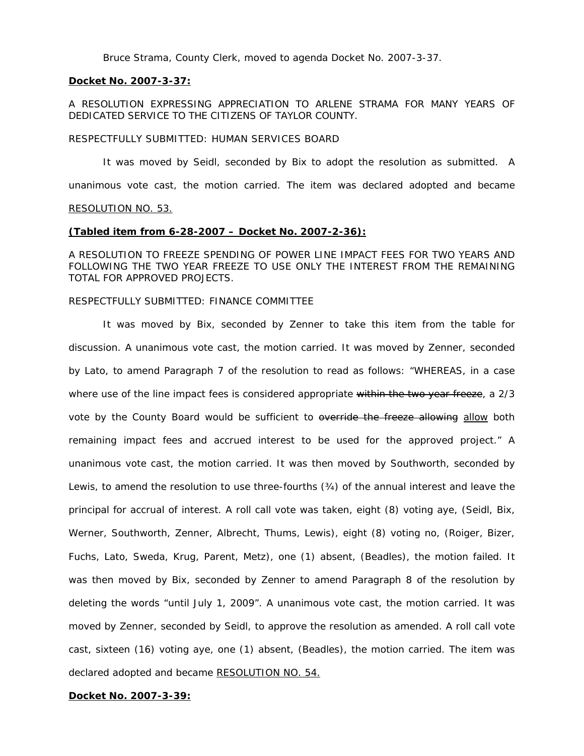Bruce Strama, County Clerk, moved to agenda Docket No. 2007-3-37.

#### **Docket No. 2007-3-37:**

A RESOLUTION EXPRESSING APPRECIATION TO ARLENE STRAMA FOR MANY YEARS OF DEDICATED SERVICE TO THE CITIZENS OF TAYLOR COUNTY.

#### RESPECTFULLY SUBMITTED: HUMAN SERVICES BOARD

 It was moved by Seidl, seconded by Bix to adopt the resolution as submitted. A unanimous vote cast, the motion carried. The item was declared adopted and became RESOLUTION NO. 53.

# **(Tabled item from 6-28-2007 – Docket No. 2007-2-36):**

A RESOLUTION TO FREEZE SPENDING OF POWER LINE IMPACT FEES FOR TWO YEARS AND FOLLOWING THE TWO YEAR FREEZE TO USE ONLY THE INTEREST FROM THE REMAINING TOTAL FOR APPROVED PROJECTS.

# RESPECTFULLY SUBMITTED: FINANCE COMMITTEE

 It was moved by Bix, seconded by Zenner to take this item from the table for discussion. A unanimous vote cast, the motion carried. It was moved by Zenner, seconded by Lato, to amend Paragraph 7 of the resolution to read as follows: "WHEREAS, in a case where use of the line impact fees is considered appropriate within the two year freeze, a 2/3 vote by the County Board would be sufficient to override the freeze allowing allow both remaining impact fees and accrued interest to be used for the approved project." A unanimous vote cast, the motion carried. It was then moved by Southworth, seconded by Lewis, to amend the resolution to use three-fourths (¾) of the annual interest and leave the principal for accrual of interest. A roll call vote was taken, eight (8) voting aye, (Seidl, Bix, Werner, Southworth, Zenner, Albrecht, Thums, Lewis), eight (8) voting no, (Roiger, Bizer, Fuchs, Lato, Sweda, Krug, Parent, Metz), one (1) absent, (Beadles), the motion failed. It was then moved by Bix, seconded by Zenner to amend Paragraph 8 of the resolution by deleting the words "until July 1, 2009". A unanimous vote cast, the motion carried. It was moved by Zenner, seconded by Seidl, to approve the resolution as amended. A roll call vote cast, sixteen (16) voting aye, one (1) absent, (Beadles), the motion carried. The item was declared adopted and became RESOLUTION NO. 54.

## **Docket No. 2007-3-39:**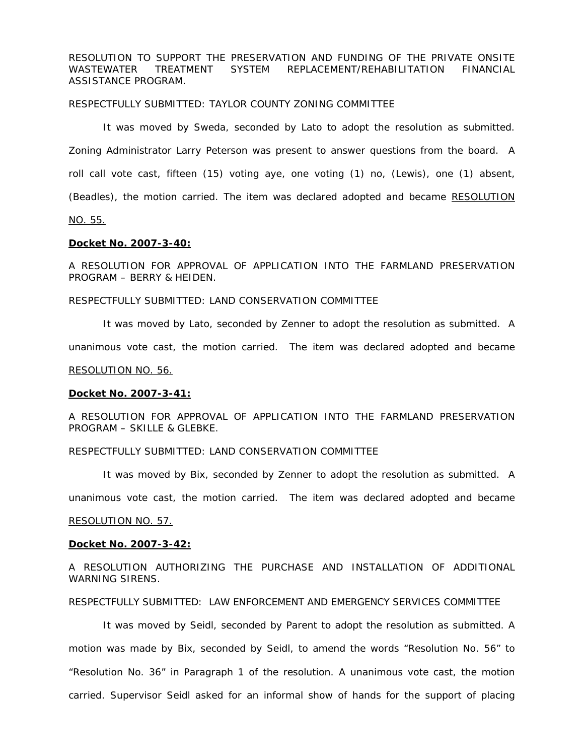RESOLUTION TO SUPPORT THE PRESERVATION AND FUNDING OF THE PRIVATE ONSITE WASTEWATER TREATMENT SYSTEM REPLACEMENT/REHABILITATION FINANCIAL ASSISTANCE PROGRAM.

#### RESPECTFULLY SUBMITTED: TAYLOR COUNTY ZONING COMMITTEE

It was moved by Sweda, seconded by Lato to adopt the resolution as submitted. Zoning Administrator Larry Peterson was present to answer questions from the board. A roll call vote cast, fifteen (15) voting aye, one voting (1) no, (Lewis), one (1) absent, (Beadles), the motion carried. The item was declared adopted and became RESOLUTION NO. 55.

**Docket No. 2007-3-40:**

A RESOLUTION FOR APPROVAL OF APPLICATION INTO THE FARMLAND PRESERVATION PROGRAM – BERRY & HEIDEN.

RESPECTFULLY SUBMITTED: LAND CONSERVATION COMMITTEE

 It was moved by Lato, seconded by Zenner to adopt the resolution as submitted. A unanimous vote cast, the motion carried. The item was declared adopted and became RESOLUTION NO. 56.

#### **Docket No. 2007-3-41:**

A RESOLUTION FOR APPROVAL OF APPLICATION INTO THE FARMLAND PRESERVATION PROGRAM – SKILLE & GLEBKE.

# RESPECTFULLY SUBMITTED: LAND CONSERVATION COMMITTEE

It was moved by Bix, seconded by Zenner to adopt the resolution as submitted. A

unanimous vote cast, the motion carried. The item was declared adopted and became

# RESOLUTION NO. 57.

#### **Docket No. 2007-3-42:**

A RESOLUTION AUTHORIZING THE PURCHASE AND INSTALLATION OF ADDITIONAL WARNING SIRENS.

#### RESPECTFULLY SUBMITTED: LAW ENFORCEMENT AND EMERGENCY SERVICES COMMITTEE

 It was moved by Seidl, seconded by Parent to adopt the resolution as submitted. A motion was made by Bix, seconded by Seidl, to amend the words "Resolution No. 56" to "Resolution No. 36" in Paragraph 1 of the resolution. A unanimous vote cast, the motion carried. Supervisor Seidl asked for an informal show of hands for the support of placing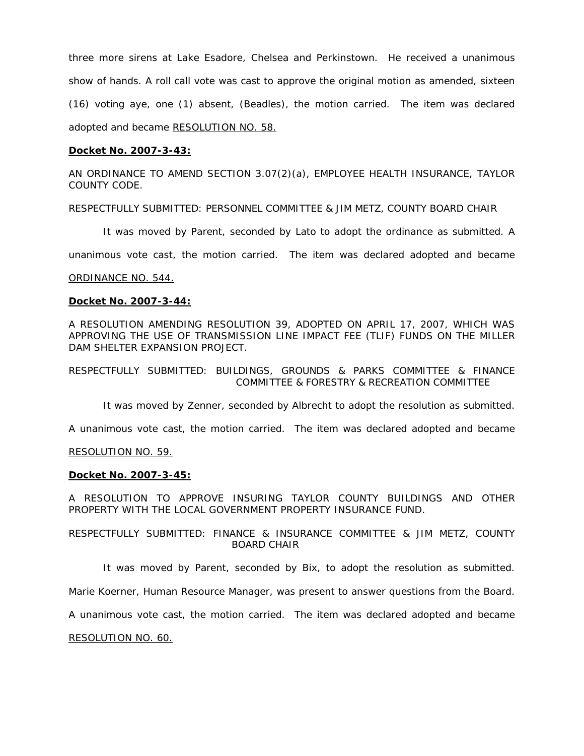three more sirens at Lake Esadore, Chelsea and Perkinstown. He received a unanimous show of hands. A roll call vote was cast to approve the original motion as amended, sixteen (16) voting aye, one (1) absent, (Beadles), the motion carried. The item was declared adopted and became RESOLUTION NO. 58.

# **Docket No. 2007-3-43:**

AN ORDINANCE TO AMEND SECTION 3.07(2)(a), EMPLOYEE HEALTH INSURANCE, TAYLOR COUNTY CODE.

RESPECTFULLY SUBMITTED: PERSONNEL COMMITTEE & JIM METZ, COUNTY BOARD CHAIR

It was moved by Parent, seconded by Lato to adopt the ordinance as submitted. A

unanimous vote cast, the motion carried. The item was declared adopted and became

# ORDINANCE NO. 544.

# **Docket No. 2007-3-44:**

A RESOLUTION AMENDING RESOLUTION 39, ADOPTED ON APRIL 17, 2007, WHICH WAS APPROVING THE USE OF TRANSMISSION LINE IMPACT FEE (TLIF) FUNDS ON THE MILLER DAM SHELTER EXPANSION PROJECT.

RESPECTFULLY SUBMITTED: BUILDINGS, GROUNDS & PARKS COMMITTEE & FINANCE COMMITTEE & FORESTRY & RECREATION COMMITTEE

It was moved by Zenner, seconded by Albrecht to adopt the resolution as submitted.

A unanimous vote cast, the motion carried. The item was declared adopted and became

# RESOLUTION NO. 59.

# **Docket No. 2007-3-45:**

A RESOLUTION TO APPROVE INSURING TAYLOR COUNTY BUILDINGS AND OTHER PROPERTY WITH THE LOCAL GOVERNMENT PROPERTY INSURANCE FUND.

RESPECTFULLY SUBMITTED: FINANCE & INSURANCE COMMITTEE & JIM METZ, COUNTY BOARD CHAIR

It was moved by Parent, seconded by Bix, to adopt the resolution as submitted.

Marie Koerner, Human Resource Manager, was present to answer questions from the Board.

A unanimous vote cast, the motion carried. The item was declared adopted and became

RESOLUTION NO. 60.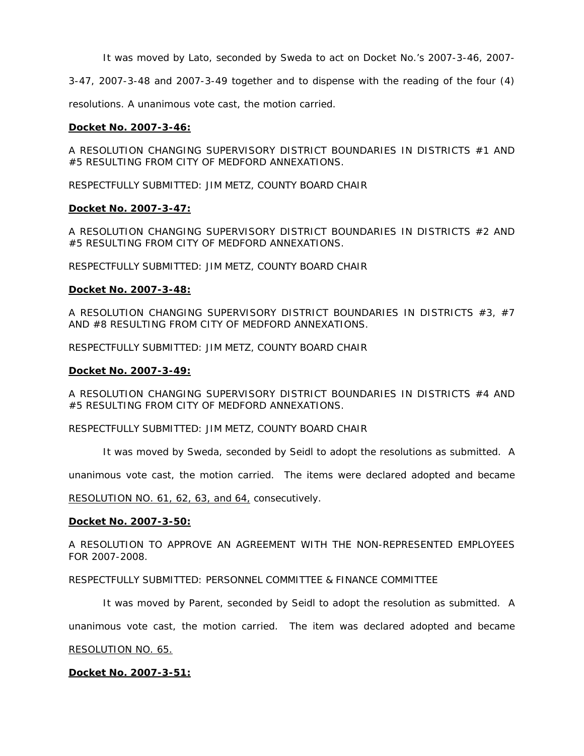It was moved by Lato, seconded by Sweda to act on Docket No.'s 2007-3-46, 2007-

3-47, 2007-3-48 and 2007-3-49 together and to dispense with the reading of the four (4)

resolutions. A unanimous vote cast, the motion carried.

# **Docket No. 2007-3-46:**

A RESOLUTION CHANGING SUPERVISORY DISTRICT BOUNDARIES IN DISTRICTS #1 AND #5 RESULTING FROM CITY OF MEDFORD ANNEXATIONS.

RESPECTFULLY SUBMITTED: JIM METZ, COUNTY BOARD CHAIR

# **Docket No. 2007-3-47:**

A RESOLUTION CHANGING SUPERVISORY DISTRICT BOUNDARIES IN DISTRICTS #2 AND #5 RESULTING FROM CITY OF MEDFORD ANNEXATIONS.

RESPECTFULLY SUBMITTED: JIM METZ, COUNTY BOARD CHAIR

#### **Docket No. 2007-3-48:**

A RESOLUTION CHANGING SUPERVISORY DISTRICT BOUNDARIES IN DISTRICTS #3, #7 AND #8 RESULTING FROM CITY OF MEDFORD ANNEXATIONS.

RESPECTFULLY SUBMITTED: JIM METZ, COUNTY BOARD CHAIR

#### **Docket No. 2007-3-49:**

A RESOLUTION CHANGING SUPERVISORY DISTRICT BOUNDARIES IN DISTRICTS #4 AND #5 RESULTING FROM CITY OF MEDFORD ANNEXATIONS.

RESPECTFULLY SUBMITTED: JIM METZ, COUNTY BOARD CHAIR

It was moved by Sweda, seconded by Seidl to adopt the resolutions as submitted. A

unanimous vote cast, the motion carried. The items were declared adopted and became

RESOLUTION NO. 61, 62, 63, and 64, consecutively.

#### **Docket No. 2007-3-50:**

A RESOLUTION TO APPROVE AN AGREEMENT WITH THE NON-REPRESENTED EMPLOYEES FOR 2007-2008.

RESPECTFULLY SUBMITTED: PERSONNEL COMMITTEE & FINANCE COMMITTEE

It was moved by Parent, seconded by Seidl to adopt the resolution as submitted. A

unanimous vote cast, the motion carried. The item was declared adopted and became

#### RESOLUTION NO. 65.

# **Docket No. 2007-3-51:**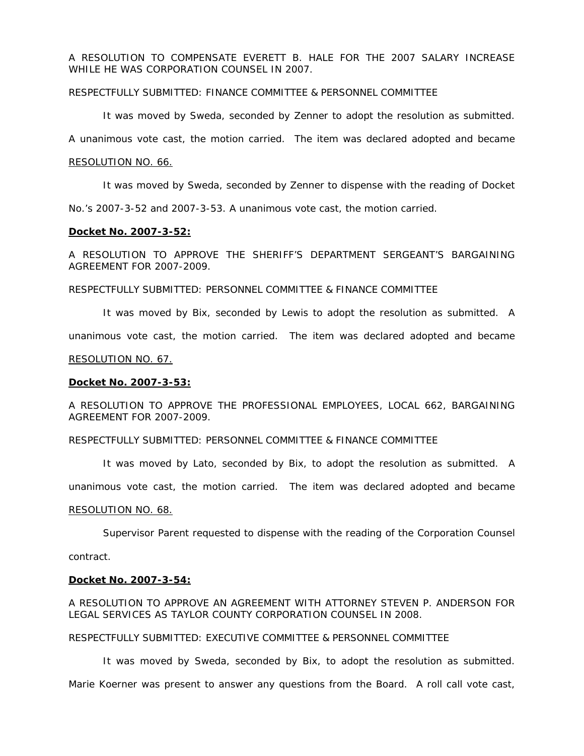A RESOLUTION TO COMPENSATE EVERETT B. HALE FOR THE 2007 SALARY INCREASE WHILE HE WAS CORPORATION COUNSEL IN 2007.

# RESPECTFULLY SUBMITTED: FINANCE COMMITTEE & PERSONNEL COMMITTEE

It was moved by Sweda, seconded by Zenner to adopt the resolution as submitted.

A unanimous vote cast, the motion carried. The item was declared adopted and became

#### RESOLUTION NO. 66.

It was moved by Sweda, seconded by Zenner to dispense with the reading of Docket

No.'s 2007-3-52 and 2007-3-53. A unanimous vote cast, the motion carried.

# **Docket No. 2007-3-52:**

A RESOLUTION TO APPROVE THE SHERIFF'S DEPARTMENT SERGEANT'S BARGAINING AGREEMENT FOR 2007-2009.

# RESPECTFULLY SUBMITTED: PERSONNEL COMMITTEE & FINANCE COMMITTEE

 It was moved by Bix, seconded by Lewis to adopt the resolution as submitted. A unanimous vote cast, the motion carried. The item was declared adopted and became

#### RESOLUTION NO. 67.

#### **Docket No. 2007-3-53:**

A RESOLUTION TO APPROVE THE PROFESSIONAL EMPLOYEES, LOCAL 662, BARGAINING AGREEMENT FOR 2007-2009.

# RESPECTFULLY SUBMITTED: PERSONNEL COMMITTEE & FINANCE COMMITTEE

It was moved by Lato, seconded by Bix, to adopt the resolution as submitted. A

unanimous vote cast, the motion carried. The item was declared adopted and became

#### RESOLUTION NO. 68.

Supervisor Parent requested to dispense with the reading of the Corporation Counsel

contract.

#### **Docket No. 2007-3-54:**

A RESOLUTION TO APPROVE AN AGREEMENT WITH ATTORNEY STEVEN P. ANDERSON FOR LEGAL SERVICES AS TAYLOR COUNTY CORPORATION COUNSEL IN 2008.

#### RESPECTFULLY SUBMITTED: EXECUTIVE COMMITTEE & PERSONNEL COMMITTEE

 It was moved by Sweda, seconded by Bix, to adopt the resolution as submitted. Marie Koerner was present to answer any questions from the Board. A roll call vote cast,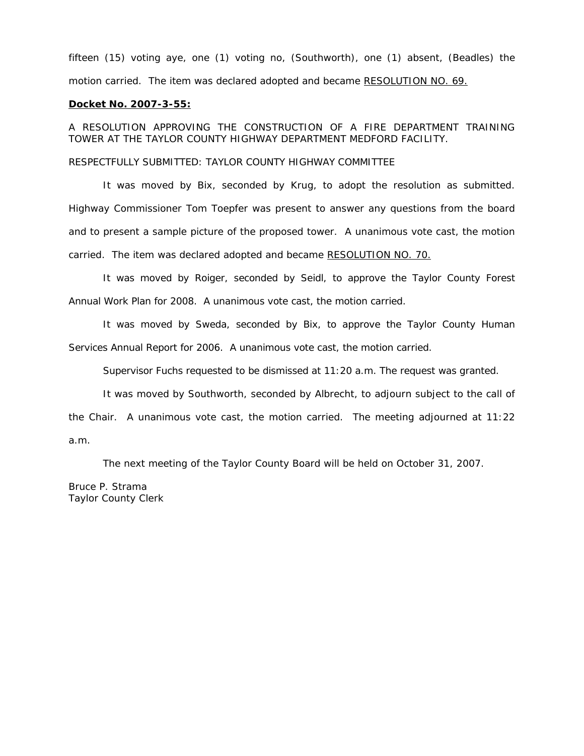fifteen (15) voting aye, one (1) voting no, (Southworth), one (1) absent, (Beadles) the motion carried. The item was declared adopted and became RESOLUTION NO. 69.

#### **Docket No. 2007-3-55:**

A RESOLUTION APPROVING THE CONSTRUCTION OF A FIRE DEPARTMENT TRAINING TOWER AT THE TAYLOR COUNTY HIGHWAY DEPARTMENT MEDFORD FACILITY.

#### RESPECTFULLY SUBMITTED: TAYLOR COUNTY HIGHWAY COMMITTEE

 It was moved by Bix, seconded by Krug, to adopt the resolution as submitted. Highway Commissioner Tom Toepfer was present to answer any questions from the board and to present a sample picture of the proposed tower. A unanimous vote cast, the motion carried. The item was declared adopted and became RESOLUTION NO. 70.

 It was moved by Roiger, seconded by Seidl, to approve the Taylor County Forest Annual Work Plan for 2008. A unanimous vote cast, the motion carried.

 It was moved by Sweda, seconded by Bix, to approve the Taylor County Human Services Annual Report for 2006. A unanimous vote cast, the motion carried.

Supervisor Fuchs requested to be dismissed at 11:20 a.m. The request was granted.

It was moved by Southworth, seconded by Albrecht, to adjourn subject to the call of the Chair. A unanimous vote cast, the motion carried. The meeting adjourned at 11:22 a.m.

The next meeting of the Taylor County Board will be held on October 31, 2007.

Bruce P. Strama Taylor County Clerk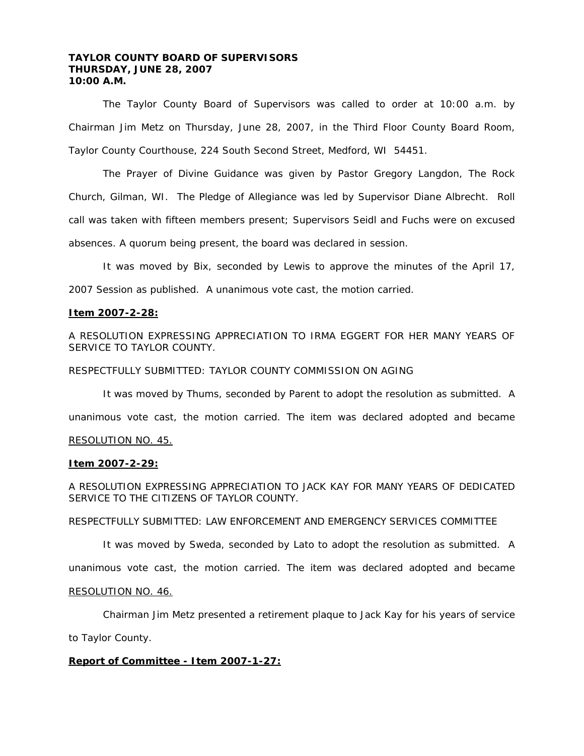# **TAYLOR COUNTY BOARD OF SUPERVISORS THURSDAY, JUNE 28, 2007 10:00 A.M.**

 The Taylor County Board of Supervisors was called to order at 10:00 a.m. by Chairman Jim Metz on Thursday, June 28, 2007, in the Third Floor County Board Room, Taylor County Courthouse, 224 South Second Street, Medford, WI 54451.

 The Prayer of Divine Guidance was given by Pastor Gregory Langdon, The Rock Church, Gilman, WI. The Pledge of Allegiance was led by Supervisor Diane Albrecht. Roll call was taken with fifteen members present; Supervisors Seidl and Fuchs were on excused absences. A quorum being present, the board was declared in session.

 It was moved by Bix, seconded by Lewis to approve the minutes of the April 17, 2007 Session as published. A unanimous vote cast, the motion carried.

#### **Item 2007-2-28:**

A RESOLUTION EXPRESSING APPRECIATION TO IRMA EGGERT FOR HER MANY YEARS OF SERVICE TO TAYLOR COUNTY.

RESPECTFULLY SUBMITTED: TAYLOR COUNTY COMMISSION ON AGING

 It was moved by Thums, seconded by Parent to adopt the resolution as submitted. A unanimous vote cast, the motion carried. The item was declared adopted and became

# RESOLUTION NO. 45.

#### **Item 2007-2-29:**

A RESOLUTION EXPRESSING APPRECIATION TO JACK KAY FOR MANY YEARS OF DEDICATED SERVICE TO THE CITIZENS OF TAYLOR COUNTY.

RESPECTFULLY SUBMITTED: LAW ENFORCEMENT AND EMERGENCY SERVICES COMMITTEE

It was moved by Sweda, seconded by Lato to adopt the resolution as submitted. A

unanimous vote cast, the motion carried. The item was declared adopted and became

#### RESOLUTION NO. 46.

Chairman Jim Metz presented a retirement plaque to Jack Kay for his years of service

to Taylor County.

# **Report of Committee - Item 2007-1-27:**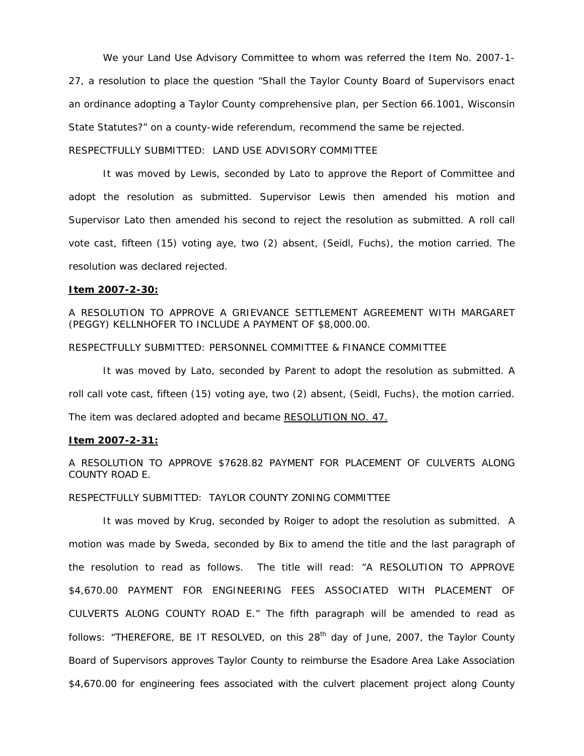We your Land Use Advisory Committee to whom was referred the Item No. 2007-1- 27, a resolution to place the question "Shall the Taylor County Board of Supervisors enact an ordinance adopting a Taylor County comprehensive plan, per Section 66.1001, Wisconsin State Statutes?" on a county-wide referendum, recommend the same be rejected.

RESPECTFULLY SUBMITTED: LAND USE ADVISORY COMMITTEE

 It was moved by Lewis, seconded by Lato to approve the Report of Committee and adopt the resolution as submitted. Supervisor Lewis then amended his motion and Supervisor Lato then amended his second to reject the resolution as submitted. A roll call vote cast, fifteen (15) voting aye, two (2) absent, (Seidl, Fuchs), the motion carried. The resolution was declared rejected.

#### **Item 2007-2-30:**

A RESOLUTION TO APPROVE A GRIEVANCE SETTLEMENT AGREEMENT WITH MARGARET (PEGGY) KELLNHOFER TO INCLUDE A PAYMENT OF \$8,000.00.

RESPECTFULLY SUBMITTED: PERSONNEL COMMITTEE & FINANCE COMMITTEE

It was moved by Lato, seconded by Parent to adopt the resolution as submitted. A roll call vote cast, fifteen (15) voting aye, two (2) absent, (Seidl, Fuchs), the motion carried. The item was declared adopted and became RESOLUTION NO. 47.

#### **Item 2007-2-31:**

A RESOLUTION TO APPROVE \$7628.82 PAYMENT FOR PLACEMENT OF CULVERTS ALONG COUNTY ROAD E.

RESPECTFULLY SUBMITTED: TAYLOR COUNTY ZONING COMMITTEE

 It was moved by Krug, seconded by Roiger to adopt the resolution as submitted. A motion was made by Sweda, seconded by Bix to amend the title and the last paragraph of the resolution to read as follows. The title will read: "A RESOLUTION TO APPROVE \$4,670.00 PAYMENT FOR ENGINEERING FEES ASSOCIATED WITH PLACEMENT OF CULVERTS ALONG COUNTY ROAD E." The fifth paragraph will be amended to read as follows: "THEREFORE, BE IT RESOLVED, on this  $28<sup>th</sup>$  day of June, 2007, the Taylor County Board of Supervisors approves Taylor County to reimburse the Esadore Area Lake Association \$4,670.00 for engineering fees associated with the culvert placement project along County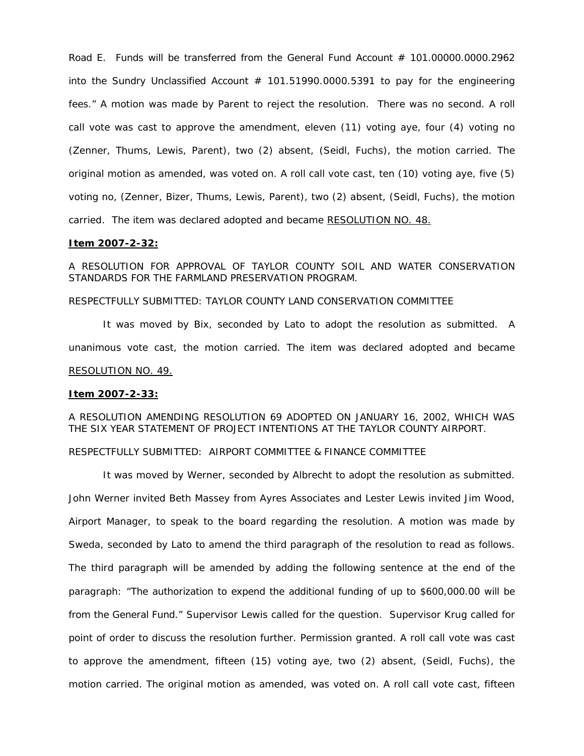Road E. Funds will be transferred from the General Fund Account # 101.00000.0000.2962 into the Sundry Unclassified Account  $# 101.51990.0000.5391$  to pay for the engineering fees." A motion was made by Parent to reject the resolution. There was no second. A roll call vote was cast to approve the amendment, eleven (11) voting aye, four (4) voting no (Zenner, Thums, Lewis, Parent), two (2) absent, (Seidl, Fuchs), the motion carried. The original motion as amended, was voted on. A roll call vote cast, ten (10) voting aye, five (5) voting no, (Zenner, Bizer, Thums, Lewis, Parent), two (2) absent, (Seidl, Fuchs), the motion carried. The item was declared adopted and became RESOLUTION NO. 48.

#### **Item 2007-2-32:**

A RESOLUTION FOR APPROVAL OF TAYLOR COUNTY SOIL AND WATER CONSERVATION STANDARDS FOR THE FARMLAND PRESERVATION PROGRAM.

# RESPECTFULLY SUBMITTED: TAYLOR COUNTY LAND CONSERVATION COMMITTEE

 It was moved by Bix, seconded by Lato to adopt the resolution as submitted. A unanimous vote cast, the motion carried. The item was declared adopted and became RESOLUTION NO. 49.

#### **Item 2007-2-33:**

# A RESOLUTION AMENDING RESOLUTION 69 ADOPTED ON JANUARY 16, 2002, WHICH WAS THE SIX YEAR STATEMENT OF PROJECT INTENTIONS AT THE TAYLOR COUNTY AIRPORT.

# RESPECTFULLY SUBMITTED: AIRPORT COMMITTEE & FINANCE COMMITTEE

 It was moved by Werner, seconded by Albrecht to adopt the resolution as submitted. John Werner invited Beth Massey from Ayres Associates and Lester Lewis invited Jim Wood, Airport Manager, to speak to the board regarding the resolution. A motion was made by Sweda, seconded by Lato to amend the third paragraph of the resolution to read as follows. The third paragraph will be amended by adding the following sentence at the end of the paragraph: "The authorization to expend the additional funding of up to \$600,000.00 will be from the General Fund." Supervisor Lewis called for the question. Supervisor Krug called for point of order to discuss the resolution further. Permission granted. A roll call vote was cast to approve the amendment, fifteen (15) voting aye, two (2) absent, (Seidl, Fuchs), the motion carried. The original motion as amended, was voted on. A roll call vote cast, fifteen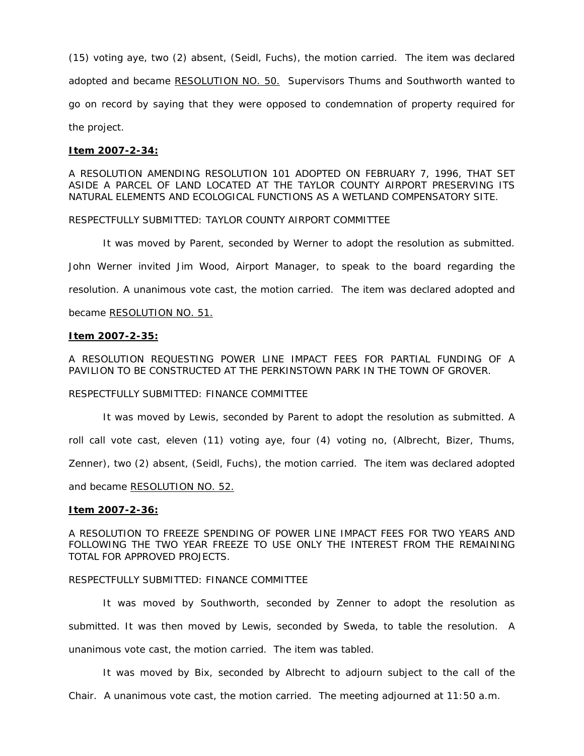(15) voting aye, two (2) absent, (Seidl, Fuchs), the motion carried. The item was declared adopted and became RESOLUTION NO. 50. Supervisors Thums and Southworth wanted to go on record by saying that they were opposed to condemnation of property required for the project.

#### **Item 2007-2-34:**

A RESOLUTION AMENDING RESOLUTION 101 ADOPTED ON FEBRUARY 7, 1996, THAT SET ASIDE A PARCEL OF LAND LOCATED AT THE TAYLOR COUNTY AIRPORT PRESERVING ITS NATURAL ELEMENTS AND ECOLOGICAL FUNCTIONS AS A WETLAND COMPENSATORY SITE.

RESPECTFULLY SUBMITTED: TAYLOR COUNTY AIRPORT COMMITTEE

 It was moved by Parent, seconded by Werner to adopt the resolution as submitted. John Werner invited Jim Wood, Airport Manager, to speak to the board regarding the resolution. A unanimous vote cast, the motion carried. The item was declared adopted and became RESOLUTION NO. 51.

#### **Item 2007-2-35:**

A RESOLUTION REQUESTING POWER LINE IMPACT FEES FOR PARTIAL FUNDING OF A PAVILION TO BE CONSTRUCTED AT THE PERKINSTOWN PARK IN THE TOWN OF GROVER.

#### RESPECTFULLY SUBMITTED: FINANCE COMMITTEE

 It was moved by Lewis, seconded by Parent to adopt the resolution as submitted. A roll call vote cast, eleven (11) voting aye, four (4) voting no, (Albrecht, Bizer, Thums, Zenner), two (2) absent, (Seidl, Fuchs), the motion carried. The item was declared adopted and became RESOLUTION NO. 52.

#### **Item 2007-2-36:**

A RESOLUTION TO FREEZE SPENDING OF POWER LINE IMPACT FEES FOR TWO YEARS AND FOLLOWING THE TWO YEAR FREEZE TO USE ONLY THE INTEREST FROM THE REMAINING TOTAL FOR APPROVED PROJECTS.

#### RESPECTFULLY SUBMITTED: FINANCE COMMITTEE

 It was moved by Southworth, seconded by Zenner to adopt the resolution as submitted. It was then moved by Lewis, seconded by Sweda, to table the resolution. A unanimous vote cast, the motion carried. The item was tabled.

 It was moved by Bix, seconded by Albrecht to adjourn subject to the call of the Chair. A unanimous vote cast, the motion carried. The meeting adjourned at 11:50 a.m.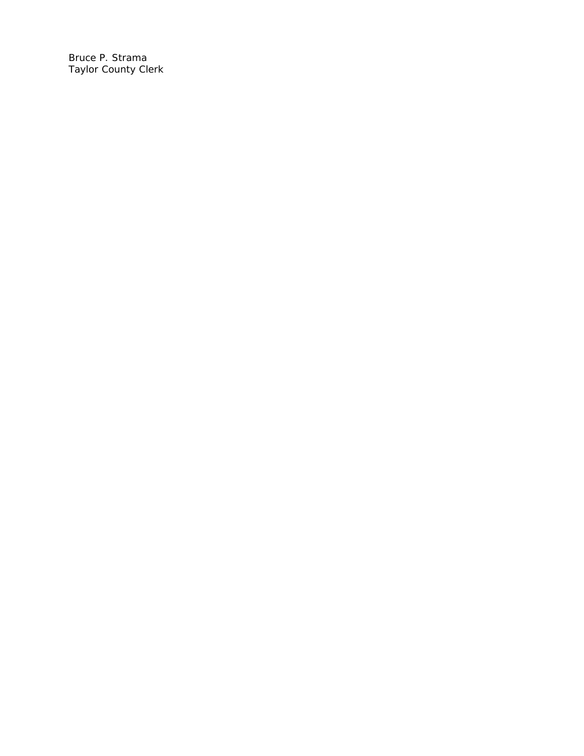Bruce P. Strama Taylor County Clerk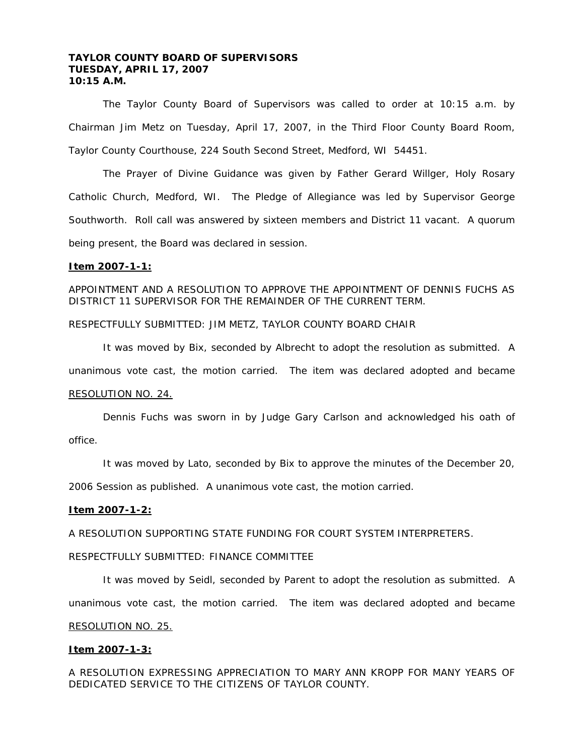# **TAYLOR COUNTY BOARD OF SUPERVISORS TUESDAY, APRIL 17, 2007 10:15 A.M.**

 The Taylor County Board of Supervisors was called to order at 10:15 a.m. by Chairman Jim Metz on Tuesday, April 17, 2007, in the Third Floor County Board Room, Taylor County Courthouse, 224 South Second Street, Medford, WI 54451.

 The Prayer of Divine Guidance was given by Father Gerard Willger, Holy Rosary Catholic Church, Medford, WI. The Pledge of Allegiance was led by Supervisor George Southworth. Roll call was answered by sixteen members and District 11 vacant. A quorum being present, the Board was declared in session.

#### **Item 2007-1-1:**

APPOINTMENT AND A RESOLUTION TO APPROVE THE APPOINTMENT OF DENNIS FUCHS AS DISTRICT 11 SUPERVISOR FOR THE REMAINDER OF THE CURRENT TERM.

RESPECTFULLY SUBMITTED: JIM METZ, TAYLOR COUNTY BOARD CHAIR

 It was moved by Bix, seconded by Albrecht to adopt the resolution as submitted. A unanimous vote cast, the motion carried. The item was declared adopted and became RESOLUTION NO. 24.

 Dennis Fuchs was sworn in by Judge Gary Carlson and acknowledged his oath of office.

It was moved by Lato, seconded by Bix to approve the minutes of the December 20,

2006 Session as published. A unanimous vote cast, the motion carried.

#### **Item 2007-1-2:**

A RESOLUTION SUPPORTING STATE FUNDING FOR COURT SYSTEM INTERPRETERS.

# RESPECTFULLY SUBMITTED: FINANCE COMMITTEE

 It was moved by Seidl, seconded by Parent to adopt the resolution as submitted. A unanimous vote cast, the motion carried. The item was declared adopted and became RESOLUTION NO. 25.

# **Item 2007-1-3:**

A RESOLUTION EXPRESSING APPRECIATION TO MARY ANN KROPP FOR MANY YEARS OF DEDICATED SERVICE TO THE CITIZENS OF TAYLOR COUNTY.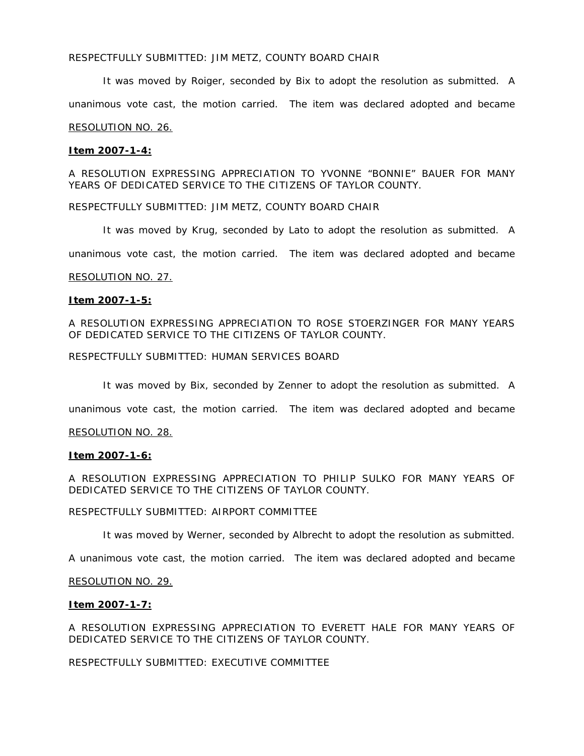# RESPECTFULLY SUBMITTED: JIM METZ, COUNTY BOARD CHAIR

 It was moved by Roiger, seconded by Bix to adopt the resolution as submitted. A unanimous vote cast, the motion carried. The item was declared adopted and became RESOLUTION NO. 26.

# **Item 2007-1-4:**

A RESOLUTION EXPRESSING APPRECIATION TO YVONNE "BONNIE" BAUER FOR MANY YEARS OF DEDICATED SERVICE TO THE CITIZENS OF TAYLOR COUNTY.

RESPECTFULLY SUBMITTED: JIM METZ, COUNTY BOARD CHAIR

It was moved by Krug, seconded by Lato to adopt the resolution as submitted. A

unanimous vote cast, the motion carried. The item was declared adopted and became

# RESOLUTION NO. 27.

# **Item 2007-1-5:**

A RESOLUTION EXPRESSING APPRECIATION TO ROSE STOERZINGER FOR MANY YEARS OF DEDICATED SERVICE TO THE CITIZENS OF TAYLOR COUNTY.

RESPECTFULLY SUBMITTED: HUMAN SERVICES BOARD

It was moved by Bix, seconded by Zenner to adopt the resolution as submitted. A

unanimous vote cast, the motion carried. The item was declared adopted and became

# RESOLUTION NO. 28.

# **Item 2007-1-6:**

A RESOLUTION EXPRESSING APPRECIATION TO PHILIP SULKO FOR MANY YEARS OF DEDICATED SERVICE TO THE CITIZENS OF TAYLOR COUNTY.

# RESPECTFULLY SUBMITTED: AIRPORT COMMITTEE

It was moved by Werner, seconded by Albrecht to adopt the resolution as submitted.

A unanimous vote cast, the motion carried. The item was declared adopted and became

# RESOLUTION NO. 29.

# **Item 2007-1-7:**

A RESOLUTION EXPRESSING APPRECIATION TO EVERETT HALE FOR MANY YEARS OF DEDICATED SERVICE TO THE CITIZENS OF TAYLOR COUNTY.

RESPECTFULLY SUBMITTED: EXECUTIVE COMMITTEE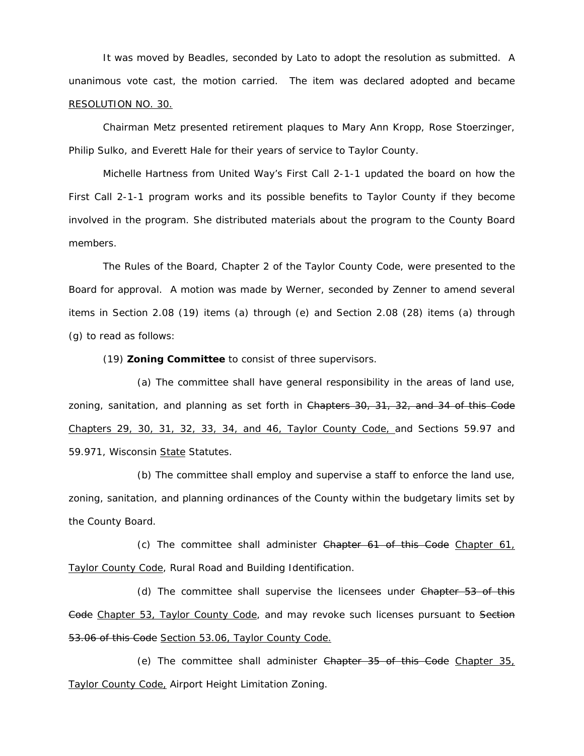It was moved by Beadles, seconded by Lato to adopt the resolution as submitted. A unanimous vote cast, the motion carried. The item was declared adopted and became RESOLUTION NO. 30.

 Chairman Metz presented retirement plaques to Mary Ann Kropp, Rose Stoerzinger, Philip Sulko, and Everett Hale for their years of service to Taylor County.

 Michelle Hartness from United Way's First Call 2-1-1 updated the board on how the First Call 2-1-1 program works and its possible benefits to Taylor County if they become involved in the program. She distributed materials about the program to the County Board members.

The Rules of the Board, Chapter 2 of the Taylor County Code, were presented to the Board for approval. A motion was made by Werner, seconded by Zenner to amend several items in Section 2.08 (19) items (a) through (e) and Section 2.08 (28) items (a) through (g) to read as follows:

(19) **Zoning Committee** to consist of three supervisors.

(a) The committee shall have general responsibility in the areas of land use, zoning, sanitation, and planning as set forth in Chapters 30, 31, 32, and 34 of this Code Chapters 29, 30, 31, 32, 33, 34, and 46, Taylor County Code, and Sections 59.97 and 59.971, Wisconsin State Statutes.

(b) The committee shall employ and supervise a staff to enforce the land use, zoning, sanitation, and planning ordinances of the County within the budgetary limits set by the County Board.

(c) The committee shall administer Chapter 61 of this Code Chapter 61, Taylor County Code, Rural Road and Building Identification.

(d) The committee shall supervise the licensees under Chapter 53 of this Gode Chapter 53, Taylor County Code, and may revoke such licenses pursuant to Section 53.06 of this Code Section 53.06, Taylor County Code.

(e) The committee shall administer Chapter 35 of this Code Chapter 35, Taylor County Code, Airport Height Limitation Zoning.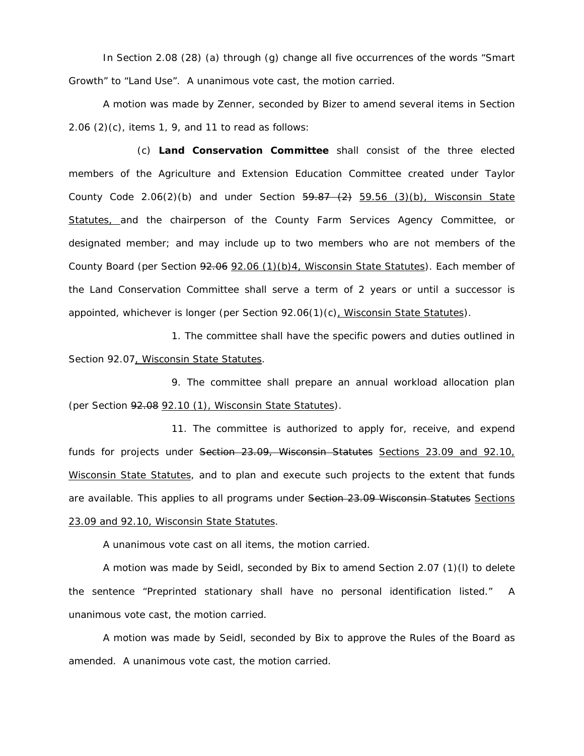In Section 2.08 (28) (a) through (g) change all five occurrences of the words "Smart Growth" to "Land Use". A unanimous vote cast, the motion carried.

A motion was made by Zenner, seconded by Bizer to amend several items in Section 2.06 (2)(c), items 1, 9, and 11 to read as follows:

(c) **Land Conservation Committee** shall consist of the three elected members of the Agriculture and Extension Education Committee created under Taylor County Code 2.06(2)(b) and under Section  $\frac{59.87}{2}$   $\frac{(2)}{59.56}$  (3)(b), Wisconsin State Statutes, and the chairperson of the County Farm Services Agency Committee, or designated member; and may include up to two members who are not members of the County Board (per Section  $92.06$  (2.06 (1)(b)4, Wisconsin State Statutes). Each member of the Land Conservation Committee shall serve a term of 2 years or until a successor is appointed, whichever is longer (per Section 92.06(1)(c), Wisconsin State Statutes).

1. The committee shall have the specific powers and duties outlined in Section 92.07, Wisconsin State Statutes.

9. The committee shall prepare an annual workload allocation plan (per Section 92.08 92.10 (1), Wisconsin State Statutes).

11. The committee is authorized to apply for, receive, and expend funds for projects under Section 23.09, Wisconsin Statutes Sections 23.09 and 92.10, Wisconsin State Statutes, and to plan and execute such projects to the extent that funds are available. This applies to all programs under Section 23.09 Wisconsin Statutes Sections 23.09 and 92.10, Wisconsin State Statutes.

A unanimous vote cast on all items, the motion carried.

A motion was made by Seidl, seconded by Bix to amend Section 2.07 (1)(l) to delete the sentence "Preprinted stationary shall have no personal identification listed." A unanimous vote cast, the motion carried.

A motion was made by Seidl, seconded by Bix to approve the Rules of the Board as amended. A unanimous vote cast, the motion carried.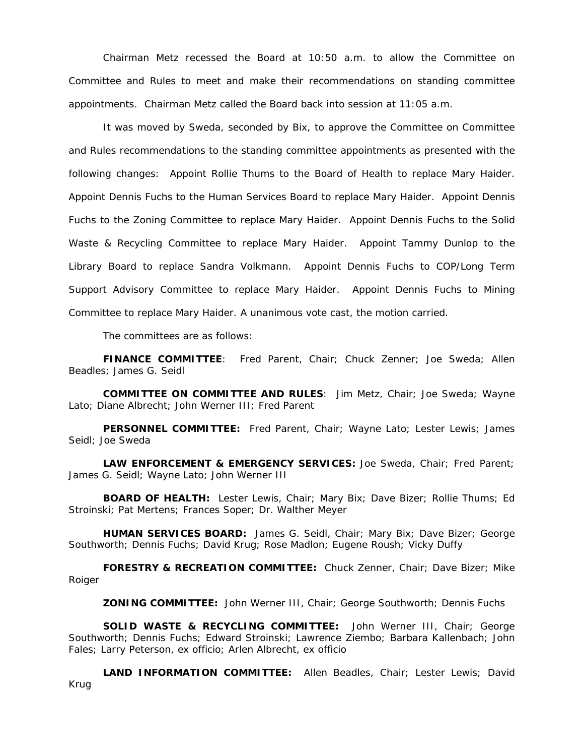Chairman Metz recessed the Board at 10:50 a.m. to allow the Committee on Committee and Rules to meet and make their recommendations on standing committee appointments. Chairman Metz called the Board back into session at 11:05 a.m.

 It was moved by Sweda, seconded by Bix, to approve the Committee on Committee and Rules recommendations to the standing committee appointments as presented with the following changes: Appoint Rollie Thums to the Board of Health to replace Mary Haider. Appoint Dennis Fuchs to the Human Services Board to replace Mary Haider. Appoint Dennis Fuchs to the Zoning Committee to replace Mary Haider. Appoint Dennis Fuchs to the Solid Waste & Recycling Committee to replace Mary Haider. Appoint Tammy Dunlop to the Library Board to replace Sandra Volkmann. Appoint Dennis Fuchs to COP/Long Term Support Advisory Committee to replace Mary Haider. Appoint Dennis Fuchs to Mining Committee to replace Mary Haider. A unanimous vote cast, the motion carried.

The committees are as follows:

**FINANCE COMMITTEE**: Fred Parent, Chair; Chuck Zenner; Joe Sweda; Allen Beadles; James G. Seidl

**COMMITTEE ON COMMITTEE AND RULES**: Jim Metz, Chair; Joe Sweda; Wayne Lato; Diane Albrecht; John Werner III; Fred Parent

**PERSONNEL COMMITTEE:** Fred Parent, Chair; Wayne Lato; Lester Lewis; James Seidl; Joe Sweda

**LAW ENFORCEMENT & EMERGENCY SERVICES:** Joe Sweda, Chair; Fred Parent; James G. Seidl; Wayne Lato; John Werner III

**BOARD OF HEALTH:** Lester Lewis, Chair; Mary Bix; Dave Bizer; Rollie Thums; Ed Stroinski; Pat Mertens; Frances Soper; Dr. Walther Meyer

**HUMAN SERVICES BOARD:** James G. Seidl, Chair; Mary Bix; Dave Bizer; George Southworth; Dennis Fuchs; David Krug; Rose Madlon; Eugene Roush; Vicky Duffy

**FORESTRY & RECREATION COMMITTEE:** Chuck Zenner, Chair; Dave Bizer; Mike Roiger

**ZONING COMMITTEE:** John Werner III, Chair; George Southworth; Dennis Fuchs

**SOLID WASTE & RECYCLING COMMITTEE:** John Werner III, Chair; George Southworth; Dennis Fuchs; Edward Stroinski; Lawrence Ziembo; Barbara Kallenbach; John Fales; Larry Peterson, ex officio; Arlen Albrecht, ex officio

**LAND INFORMATION COMMITTEE:** Allen Beadles, Chair; Lester Lewis; David Krug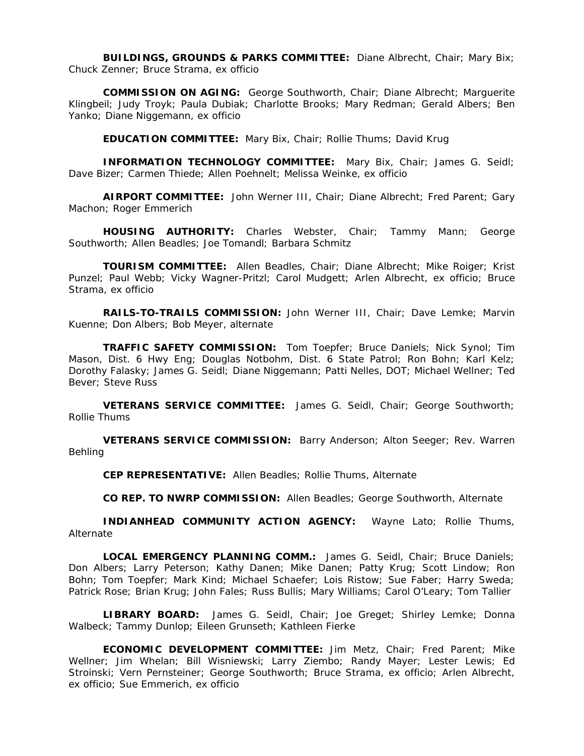**BUILDINGS, GROUNDS & PARKS COMMITTEE:** Diane Albrecht, Chair; Mary Bix; Chuck Zenner; Bruce Strama, ex officio

**COMMISSION ON AGING:** George Southworth, Chair; Diane Albrecht; Marguerite Klingbeil; Judy Troyk; Paula Dubiak; Charlotte Brooks; Mary Redman; Gerald Albers; Ben Yanko; Diane Niggemann, ex officio

**EDUCATION COMMITTEE:** Mary Bix, Chair; Rollie Thums; David Krug

**INFORMATION TECHNOLOGY COMMITTEE:** Mary Bix, Chair; James G. Seidl; Dave Bizer; Carmen Thiede; Allen Poehnelt; Melissa Weinke, ex officio

**AIRPORT COMMITTEE:** John Werner III, Chair; Diane Albrecht; Fred Parent; Gary Machon; Roger Emmerich

**HOUSING AUTHORITY:** Charles Webster, Chair; Tammy Mann; George Southworth; Allen Beadles; Joe Tomandl; Barbara Schmitz

**TOURISM COMMITTEE:** Allen Beadles, Chair; Diane Albrecht; Mike Roiger; Krist Punzel; Paul Webb; Vicky Wagner-Pritzl; Carol Mudgett; Arlen Albrecht, ex officio; Bruce Strama, ex officio

**RAILS-TO-TRAILS COMMISSION:** John Werner III, Chair; Dave Lemke; Marvin Kuenne; Don Albers; Bob Meyer, alternate

**TRAFFIC SAFETY COMMISSION:** Tom Toepfer; Bruce Daniels; Nick Synol; Tim Mason, Dist. 6 Hwy Eng; Douglas Notbohm, Dist. 6 State Patrol; Ron Bohn; Karl Kelz; Dorothy Falasky; James G. Seidl; Diane Niggemann; Patti Nelles, DOT; Michael Wellner; Ted Bever; Steve Russ

**VETERANS SERVICE COMMITTEE:** James G. Seidl, Chair; George Southworth; Rollie Thums

**VETERANS SERVICE COMMISSION:** Barry Anderson; Alton Seeger; Rev. Warren Behling

**CEP REPRESENTATIVE:** Allen Beadles; Rollie Thums, Alternate

**CO REP. TO NWRP COMMISSION:** Allen Beadles; George Southworth, Alternate

**INDIANHEAD COMMUNITY ACTION AGENCY:** Wayne Lato; Rollie Thums, Alternate

**LOCAL EMERGENCY PLANNING COMM.:** James G. Seidl, Chair; Bruce Daniels; Don Albers; Larry Peterson; Kathy Danen; Mike Danen; Patty Krug; Scott Lindow; Ron Bohn; Tom Toepfer; Mark Kind; Michael Schaefer; Lois Ristow; Sue Faber; Harry Sweda; Patrick Rose; Brian Krug; John Fales; Russ Bullis; Mary Williams; Carol O'Leary; Tom Tallier

**LIBRARY BOARD:** James G. Seidl, Chair; Joe Greget; Shirley Lemke; Donna Walbeck; Tammy Dunlop; Eileen Grunseth; Kathleen Fierke

**ECONOMIC DEVELOPMENT COMMITTEE:** Jim Metz, Chair; Fred Parent; Mike Wellner; Jim Whelan; Bill Wisniewski; Larry Ziembo; Randy Mayer; Lester Lewis; Ed Stroinski; Vern Pernsteiner; George Southworth; Bruce Strama, ex officio; Arlen Albrecht, ex officio; Sue Emmerich, ex officio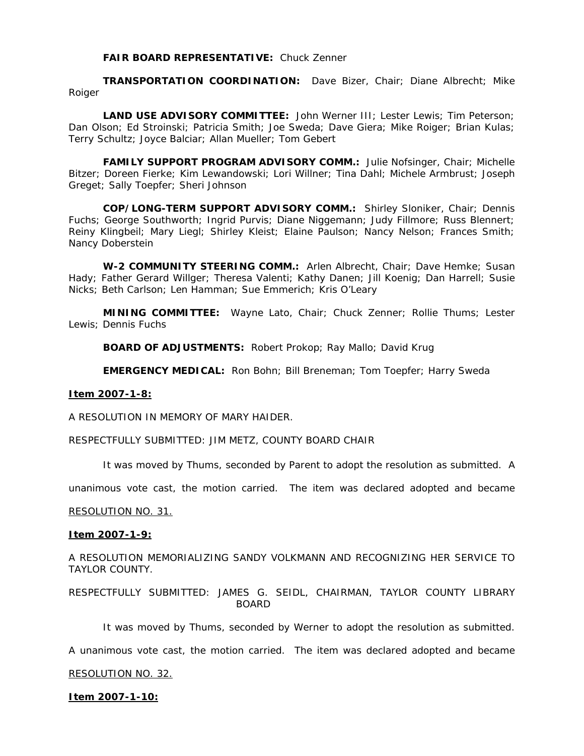# **FAIR BOARD REPRESENTATIVE:** Chuck Zenner

**TRANSPORTATION COORDINATION:** Dave Bizer, Chair; Diane Albrecht; Mike Roiger

**LAND USE ADVISORY COMMITTEE:** John Werner III; Lester Lewis; Tim Peterson; Dan Olson; Ed Stroinski; Patricia Smith; Joe Sweda; Dave Giera; Mike Roiger; Brian Kulas; Terry Schultz; Joyce Balciar; Allan Mueller; Tom Gebert

**FAMILY SUPPORT PROGRAM ADVISORY COMM.:** Julie Nofsinger, Chair; Michelle Bitzer; Doreen Fierke; Kim Lewandowski; Lori Willner; Tina Dahl; Michele Armbrust; Joseph Greget; Sally Toepfer; Sheri Johnson

**COP/LONG-TERM SUPPORT ADVISORY COMM.:** Shirley Sloniker, Chair; Dennis Fuchs; George Southworth; Ingrid Purvis; Diane Niggemann; Judy Fillmore; Russ Blennert; Reiny Klingbeil; Mary Liegl; Shirley Kleist; Elaine Paulson; Nancy Nelson; Frances Smith; Nancy Doberstein

**W-2 COMMUNITY STEERING COMM.:** Arlen Albrecht, Chair; Dave Hemke; Susan Hady; Father Gerard Willger; Theresa Valenti; Kathy Danen; Jill Koenig; Dan Harrell; Susie Nicks; Beth Carlson; Len Hamman; Sue Emmerich; Kris O'Leary

**MINING COMMITTEE:** Wayne Lato, Chair; Chuck Zenner; Rollie Thums; Lester Lewis; Dennis Fuchs

**BOARD OF ADJUSTMENTS:** Robert Prokop; Ray Mallo; David Krug

**EMERGENCY MEDICAL:** Ron Bohn; Bill Breneman; Tom Toepfer; Harry Sweda

# **Item 2007-1-8:**

A RESOLUTION IN MEMORY OF MARY HAIDER.

RESPECTFULLY SUBMITTED: JIM METZ, COUNTY BOARD CHAIR

It was moved by Thums, seconded by Parent to adopt the resolution as submitted. A

unanimous vote cast, the motion carried. The item was declared adopted and became

# RESOLUTION NO. 31.

# **Item 2007-1-9:**

A RESOLUTION MEMORIALIZING SANDY VOLKMANN AND RECOGNIZING HER SERVICE TO TAYLOR COUNTY.

RESPECTFULLY SUBMITTED: JAMES G. SEIDL, CHAIRMAN, TAYLOR COUNTY LIBRARY BOARD

It was moved by Thums, seconded by Werner to adopt the resolution as submitted.

A unanimous vote cast, the motion carried. The item was declared adopted and became

# RESOLUTION NO. 32.

# **Item 2007-1-10:**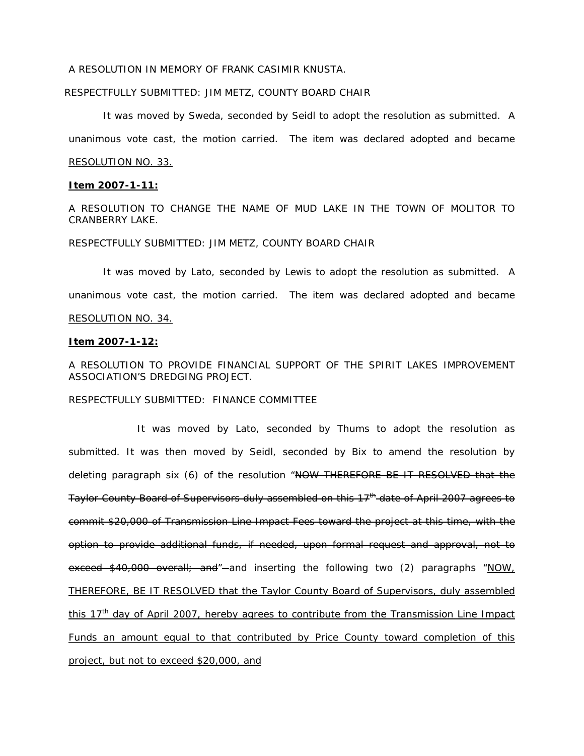# A RESOLUTION IN MEMORY OF FRANK CASIMIR KNUSTA.

#### RESPECTFULLY SUBMITTED: JIM METZ, COUNTY BOARD CHAIR

 It was moved by Sweda, seconded by Seidl to adopt the resolution as submitted. A unanimous vote cast, the motion carried. The item was declared adopted and became RESOLUTION NO. 33.

# **Item 2007-1-11:**

A RESOLUTION TO CHANGE THE NAME OF MUD LAKE IN THE TOWN OF MOLITOR TO CRANBERRY LAKE.

#### RESPECTFULLY SUBMITTED: JIM METZ, COUNTY BOARD CHAIR

 It was moved by Lato, seconded by Lewis to adopt the resolution as submitted. A unanimous vote cast, the motion carried. The item was declared adopted and became RESOLUTION NO. 34.

## **Item 2007-1-12:**

A RESOLUTION TO PROVIDE FINANCIAL SUPPORT OF THE SPIRIT LAKES IMPROVEMENT ASSOCIATION'S DREDGING PROJECT.

RESPECTFULLY SUBMITTED: FINANCE COMMITTEE

 It was moved by Lato, seconded by Thums to adopt the resolution as submitted. It was then moved by Seidl, seconded by Bix to amend the resolution by deleting paragraph six (6) of the resolution "NOW THEREFORE BE IT RESOLVED that the Taylor County Board of Supervisors duly assembled on this 17<sup>th</sup> date of April 2007 agrees to commit \$20,000 of Transmission Line Impact Fees toward the project at this time, with the option to provide additional funds, if needed, upon formal request and approval, not to exceed \$40,000 overall; and"-and inserting the following two (2) paragraphs "NOW, THEREFORE, BE IT RESOLVED that the Taylor County Board of Supervisors, duly assembled this  $17<sup>th</sup>$  day of April 2007, hereby agrees to contribute from the Transmission Line Impact Funds an amount equal to that contributed by Price County toward completion of this project, but not to exceed \$20,000, and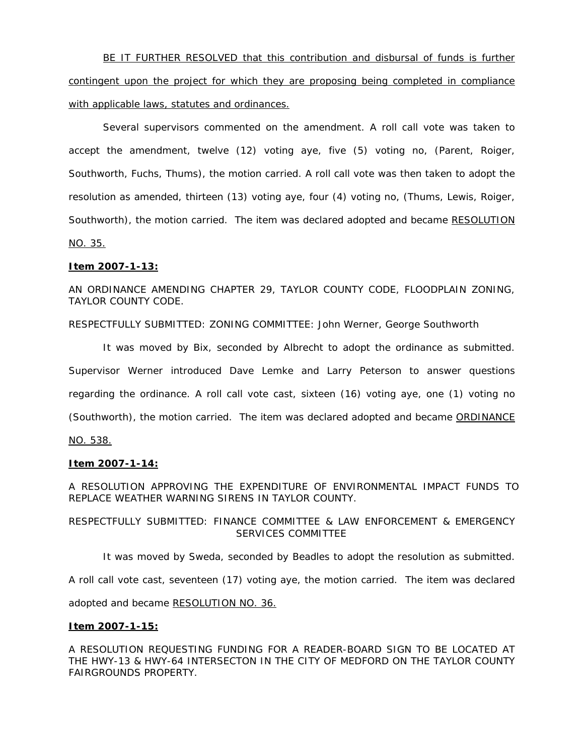BE IT FURTHER RESOLVED that this contribution and disbursal of funds is further contingent upon the project for which they are proposing being completed in compliance with applicable laws, statutes and ordinances.

Several supervisors commented on the amendment. A roll call vote was taken to accept the amendment, twelve (12) voting aye, five (5) voting no, (Parent, Roiger, Southworth, Fuchs, Thums), the motion carried. A roll call vote was then taken to adopt the resolution as amended, thirteen (13) voting aye, four (4) voting no, (Thums, Lewis, Roiger, Southworth), the motion carried. The item was declared adopted and became RESOLUTION NO. 35.

# **Item 2007-1-13:**

# AN ORDINANCE AMENDING CHAPTER 29, TAYLOR COUNTY CODE, FLOODPLAIN ZONING, TAYLOR COUNTY CODE.

RESPECTFULLY SUBMITTED: ZONING COMMITTEE: John Werner, George Southworth

 It was moved by Bix, seconded by Albrecht to adopt the ordinance as submitted. Supervisor Werner introduced Dave Lemke and Larry Peterson to answer questions regarding the ordinance. A roll call vote cast, sixteen (16) voting aye, one (1) voting no (Southworth), the motion carried. The item was declared adopted and became ORDINANCE NO. 538.

# **Item 2007-1-14:**

A RESOLUTION APPROVING THE EXPENDITURE OF ENVIRONMENTAL IMPACT FUNDS TO REPLACE WEATHER WARNING SIRENS IN TAYLOR COUNTY.

RESPECTFULLY SUBMITTED: FINANCE COMMITTEE & LAW ENFORCEMENT & EMERGENCY SERVICES COMMITTEE

 It was moved by Sweda, seconded by Beadles to adopt the resolution as submitted. A roll call vote cast, seventeen (17) voting aye, the motion carried. The item was declared

adopted and became RESOLUTION NO. 36.

# **Item 2007-1-15:**

A RESOLUTION REQUESTING FUNDING FOR A READER-BOARD SIGN TO BE LOCATED AT THE HWY-13 & HWY-64 INTERSECTON IN THE CITY OF MEDFORD ON THE TAYLOR COUNTY FAIRGROUNDS PROPERTY.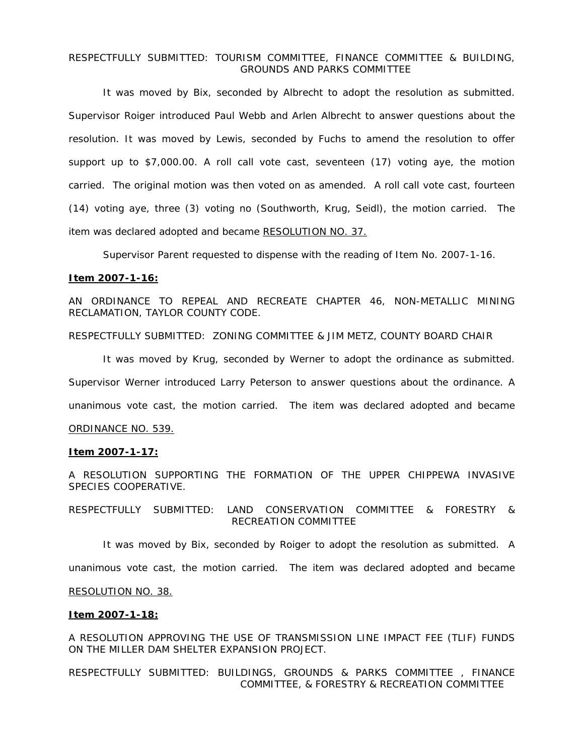# RESPECTFULLY SUBMITTED: TOURISM COMMITTEE, FINANCE COMMITTEE & BUILDING, GROUNDS AND PARKS COMMITTEE

 It was moved by Bix, seconded by Albrecht to adopt the resolution as submitted. Supervisor Roiger introduced Paul Webb and Arlen Albrecht to answer questions about the resolution. It was moved by Lewis, seconded by Fuchs to amend the resolution to offer support up to \$7,000.00. A roll call vote cast, seventeen (17) voting aye, the motion carried. The original motion was then voted on as amended. A roll call vote cast, fourteen (14) voting aye, three (3) voting no (Southworth, Krug, Seidl), the motion carried. The item was declared adopted and became RESOLUTION NO. 37.

Supervisor Parent requested to dispense with the reading of Item No. 2007-1-16.

#### **Item 2007-1-16:**

AN ORDINANCE TO REPEAL AND RECREATE CHAPTER 46, NON-METALLIC MINING RECLAMATION, TAYLOR COUNTY CODE.

RESPECTFULLY SUBMITTED: ZONING COMMITTEE & JIM METZ, COUNTY BOARD CHAIR

 It was moved by Krug, seconded by Werner to adopt the ordinance as submitted. Supervisor Werner introduced Larry Peterson to answer questions about the ordinance. A unanimous vote cast, the motion carried. The item was declared adopted and became ORDINANCE NO. 539.

#### **Item 2007-1-17:**

A RESOLUTION SUPPORTING THE FORMATION OF THE UPPER CHIPPEWA INVASIVE SPECIES COOPERATIVE.

RESPECTFULLY SUBMITTED: LAND CONSERVATION COMMITTEE & FORESTRY & RECREATION COMMITTEE

It was moved by Bix, seconded by Roiger to adopt the resolution as submitted. A

unanimous vote cast, the motion carried. The item was declared adopted and became

#### RESOLUTION NO. 38.

#### **Item 2007-1-18:**

A RESOLUTION APPROVING THE USE OF TRANSMISSION LINE IMPACT FEE (TLIF) FUNDS ON THE MILLER DAM SHELTER EXPANSION PROJECT.

RESPECTFULLY SUBMITTED: BUILDINGS, GROUNDS & PARKS COMMITTEE , FINANCE COMMITTEE, & FORESTRY & RECREATION COMMITTEE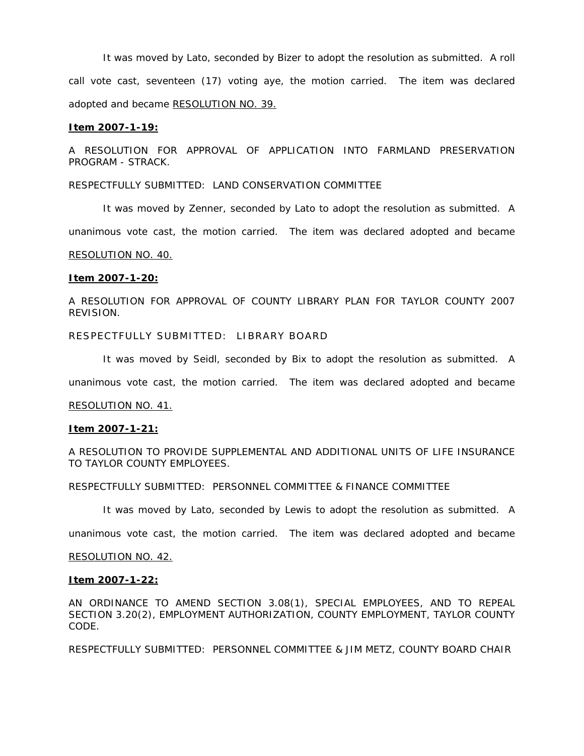It was moved by Lato, seconded by Bizer to adopt the resolution as submitted. A roll call vote cast, seventeen (17) voting aye, the motion carried. The item was declared adopted and became RESOLUTION NO. 39.

#### **Item 2007-1-19:**

A RESOLUTION FOR APPROVAL OF APPLICATION INTO FARMLAND PRESERVATION PROGRAM - STRACK.

RESPECTFULLY SUBMITTED: LAND CONSERVATION COMMITTEE

It was moved by Zenner, seconded by Lato to adopt the resolution as submitted. A

unanimous vote cast, the motion carried. The item was declared adopted and became

#### RESOLUTION NO. 40.

#### **Item 2007-1-20:**

A RESOLUTION FOR APPROVAL OF COUNTY LIBRARY PLAN FOR TAYLOR COUNTY 2007 REVISION.

RESPECTFULLY SUBMITTED: LIBRARY BOARD

It was moved by Seidl, seconded by Bix to adopt the resolution as submitted. A

unanimous vote cast, the motion carried. The item was declared adopted and became

RESOLUTION NO. 41.

#### **Item 2007-1-21:**

A RESOLUTION TO PROVIDE SUPPLEMENTAL AND ADDITIONAL UNITS OF LIFE INSURANCE TO TAYLOR COUNTY EMPLOYEES.

RESPECTFULLY SUBMITTED: PERSONNEL COMMITTEE & FINANCE COMMITTEE

It was moved by Lato, seconded by Lewis to adopt the resolution as submitted. A

unanimous vote cast, the motion carried. The item was declared adopted and became

#### RESOLUTION NO. 42.

#### **Item 2007-1-22:**

AN ORDINANCE TO AMEND SECTION 3.08(1), SPECIAL EMPLOYEES, AND TO REPEAL SECTION 3.20(2), EMPLOYMENT AUTHORIZATION, COUNTY EMPLOYMENT, TAYLOR COUNTY CODE.

RESPECTFULLY SUBMITTED: PERSONNEL COMMITTEE & JIM METZ, COUNTY BOARD CHAIR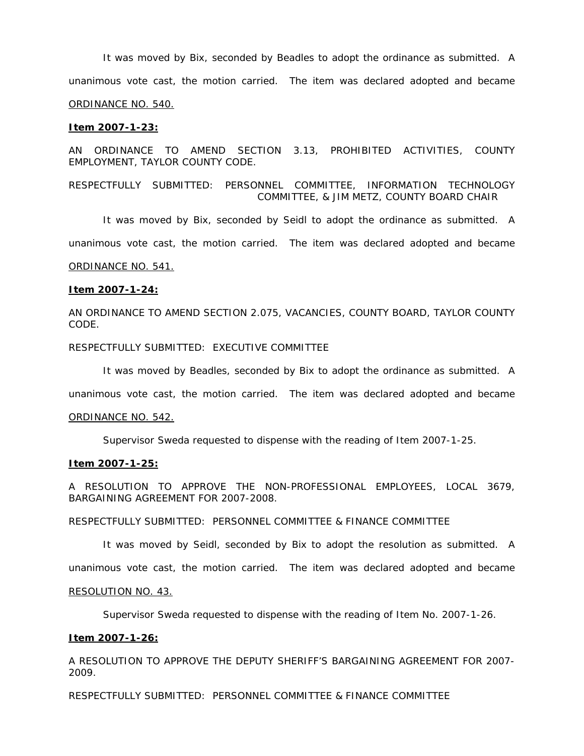It was moved by Bix, seconded by Beadles to adopt the ordinance as submitted. A unanimous vote cast, the motion carried. The item was declared adopted and became ORDINANCE NO. 540.

#### **Item 2007-1-23:**

AN ORDINANCE TO AMEND SECTION 3.13, PROHIBITED ACTIVITIES, COUNTY EMPLOYMENT, TAYLOR COUNTY CODE.

RESPECTFULLY SUBMITTED: PERSONNEL COMMITTEE, INFORMATION TECHNOLOGY COMMITTEE, & JIM METZ, COUNTY BOARD CHAIR

It was moved by Bix, seconded by Seidl to adopt the ordinance as submitted. A

unanimous vote cast, the motion carried. The item was declared adopted and became

# ORDINANCE NO. 541.

#### **Item 2007-1-24:**

AN ORDINANCE TO AMEND SECTION 2.075, VACANCIES, COUNTY BOARD, TAYLOR COUNTY CODE.

RESPECTFULLY SUBMITTED: EXECUTIVE COMMITTEE

It was moved by Beadles, seconded by Bix to adopt the ordinance as submitted. A

unanimous vote cast, the motion carried. The item was declared adopted and became

#### ORDINANCE NO. 542.

Supervisor Sweda requested to dispense with the reading of Item 2007-1-25.

#### **Item 2007-1-25:**

A RESOLUTION TO APPROVE THE NON-PROFESSIONAL EMPLOYEES, LOCAL 3679, BARGAINING AGREEMENT FOR 2007-2008.

RESPECTFULLY SUBMITTED: PERSONNEL COMMITTEE & FINANCE COMMITTEE

It was moved by Seidl, seconded by Bix to adopt the resolution as submitted. A

unanimous vote cast, the motion carried. The item was declared adopted and became

#### RESOLUTION NO. 43.

Supervisor Sweda requested to dispense with the reading of Item No. 2007-1-26.

#### **Item 2007-1-26:**

A RESOLUTION TO APPROVE THE DEPUTY SHERIFF'S BARGAINING AGREEMENT FOR 2007- 2009.

RESPECTFULLY SUBMITTED: PERSONNEL COMMITTEE & FINANCE COMMITTEE